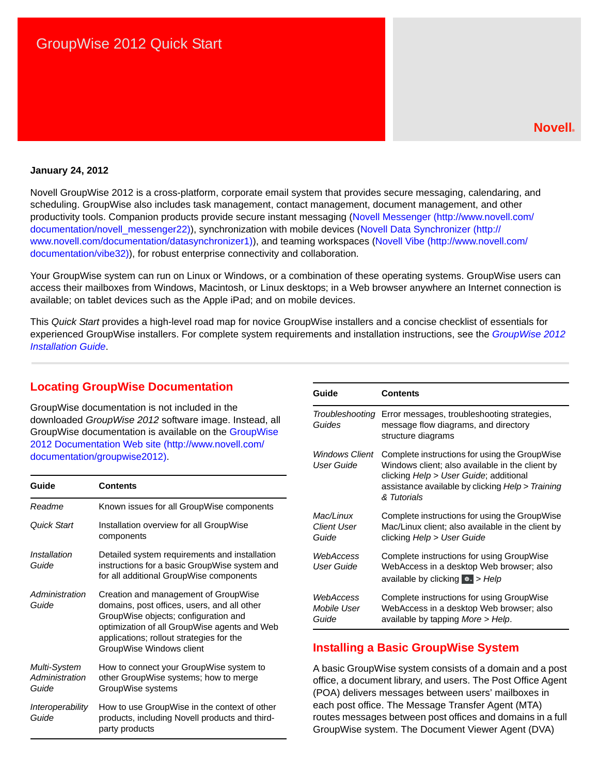### **Novell®**

#### **January 24, 2012**

Novell GroupWise 2012 is a cross-platform, corporate email system that provides secure messaging, calendaring, and scheduling. GroupWise also includes task management, contact management, document management, and other productivity tools. Companion products provide secure instant messaging ([Novell Messenger](http://www.novell.com/documentation/novell_messenger22) (http://www.novell.com/ documentation/novell\_messenger22)), synchronization with mobile devices ([Novell Data Synchronizer](http://www.novell.com/documentation/datasynchronizer1) (http:// www.novell.com/documentation/datasynchronizer1)), and teaming workspaces ([Novell Vibe](http://www.novell.com/documentation/vibe32) (http://www.novell.com/ documentation/vibe32)), for robust enterprise connectivity and collaboration.

Your GroupWise system can run on Linux or Windows, or a combination of these operating systems. GroupWise users can access their mailboxes from Windows, Macintosh, or Linux desktops; in a Web browser anywhere an Internet connection is available; on tablet devices such as the Apple iPad; and on mobile devices.

This *Quick Start* provides a high-level road map for novice GroupWise installers and a concise checklist of essentials for experienced GroupWise installers. For complete system requirements and installation instructions, see the *GroupWise 2012 Installation Guide*.

## **Locating GroupWise Documentation**

GroupWise documentation is not included in the downloaded *GroupWise 2012* software image. Instead, all GroupWise documentation is available on the [GroupWise](http://www.novell.com/documentation/groupwise2012)  [2012 Documentation Web site](http://www.novell.com/documentation/groupwise2012) (http://www.novell.com/ documentation/groupwise2012).

| Guide                                   | <b>Contents</b>                                                                                                                                                                                                                                     |
|-----------------------------------------|-----------------------------------------------------------------------------------------------------------------------------------------------------------------------------------------------------------------------------------------------------|
| Readme                                  | Known issues for all GroupWise components                                                                                                                                                                                                           |
| Quick Start                             | Installation overview for all GroupWise<br>components                                                                                                                                                                                               |
| Installation<br>Guide                   | Detailed system requirements and installation<br>instructions for a basic GroupWise system and<br>for all additional GroupWise components                                                                                                           |
| Administration<br>Guide                 | Creation and management of GroupWise<br>domains, post offices, users, and all other<br>GroupWise objects; configuration and<br>optimization of all GroupWise agents and Web<br>applications; rollout strategies for the<br>GroupWise Windows client |
| Multi-System<br>Administration<br>Guide | How to connect your GroupWise system to<br>other GroupWise systems; how to merge<br>GroupWise systems                                                                                                                                               |
| Interoperability<br>Guide               | How to use GroupWise in the context of other<br>products, including Novell products and third-<br>party products                                                                                                                                    |

| Guide                                    | <b>Contents</b>                                                                                                                                                                                               |
|------------------------------------------|---------------------------------------------------------------------------------------------------------------------------------------------------------------------------------------------------------------|
| Troubleshooting<br>Guides                | Error messages, troubleshooting strategies,<br>message flow diagrams, and directory<br>structure diagrams                                                                                                     |
| Windows Client<br>User Guide             | Complete instructions for using the GroupWise<br>Windows client; also available in the client by<br>clicking Help > User Guide; additional<br>assistance available by clicking Help > Training<br>& Tutorials |
| Mac/Linux<br><b>Client User</b><br>Guide | Complete instructions for using the GroupWise<br>Mac/Linux client; also available in the client by<br>clicking Help > User Guide                                                                              |
| WebAccess<br>User Guide                  | Complete instructions for using GroupWise<br>WebAccess in a desktop Web browser; also<br>available by clicking *** > Help                                                                                     |
| WebAccess<br>Mobile User<br>Guide        | Complete instructions for using GroupWise<br>WebAccess in a desktop Web browser; also<br>available by tapping More > Help.                                                                                    |

# **Installing a Basic GroupWise System**

A basic GroupWise system consists of a domain and a post office, a document library, and users. The Post Office Agent (POA) delivers messages between users' mailboxes in each post office. The Message Transfer Agent (MTA) routes messages between post offices and domains in a full GroupWise system. The Document Viewer Agent (DVA)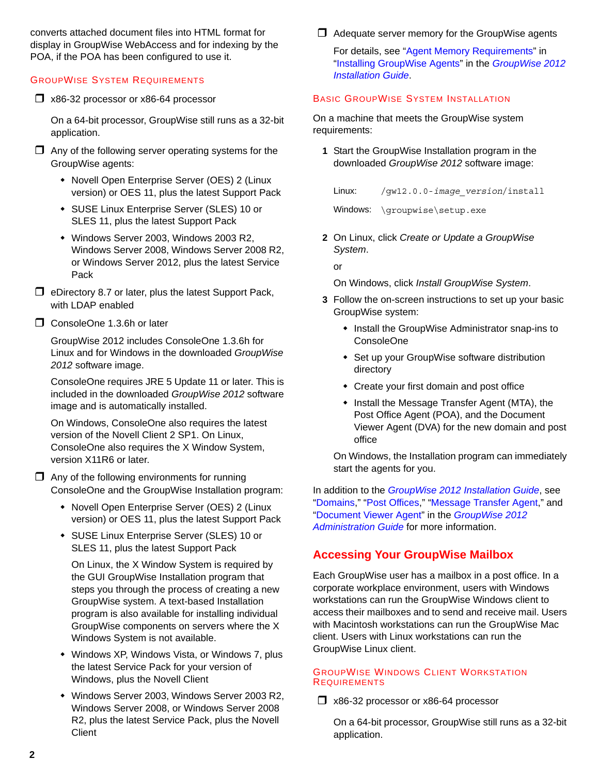converts attached document files into HTML format for display in GroupWise WebAccess and for indexing by the POA, if the POA has been configured to use it.

### <span id="page-1-1"></span>GROUPWISE SYSTEM REQUIREMENTS

x86-32 processor or x86-64 processor

On a 64-bit processor, GroupWise still runs as a 32-bit application.

- $\Box$  Any of the following server operating systems for the GroupWise agents:
	- Novell Open Enterprise Server (OES) 2 (Linux version) or OES 11, plus the latest Support Pack
	- SUSE Linux Enterprise Server (SLES) 10 or SLES 11, plus the latest Support Pack
	- Windows Server 2003, Windows 2003 R2, Windows Server 2008, Windows Server 2008 R2, or Windows Server 2012, plus the latest Service Pack
- $\Box$  eDirectory 8.7 or later, plus the latest Support Pack, with LDAP enabled
- ConsoleOne 1.3.6h or later

GroupWise 2012 includes ConsoleOne 1.3.6h for Linux and for Windows in the downloaded *GroupWise 2012* software image.

ConsoleOne requires JRE 5 Update 11 or later. This is included in the downloaded *GroupWise 2012* software image and is automatically installed.

On Windows, ConsoleOne also requires the latest version of the Novell Client 2 SP1. On Linux, ConsoleOne also requires the X Window System, version X11R6 or later.

 $\Box$  Any of the following environments for running ConsoleOne and the GroupWise Installation program:

- Novell Open Enterprise Server (OES) 2 (Linux version) or OES 11, plus the latest Support Pack
- SUSE Linux Enterprise Server (SLES) 10 or SLES 11, plus the latest Support Pack

On Linux, the X Window System is required by the GUI GroupWise Installation program that steps you through the process of creating a new GroupWise system. A text-based Installation program is also available for installing individual GroupWise components on servers where the X Windows System is not available.

- Windows XP, Windows Vista, or Windows 7, plus the latest Service Pack for your version of Windows, plus the Novell Client
- Windows Server 2003, Windows Server 2003 R2, Windows Server 2008, or Windows Server 2008 R2, plus the latest Service Pack, plus the Novell **Client**

#### $\Box$  Adequate server memory for the GroupWise agents

For details, see "Agent Memory Requirements" in "Installing GroupWise Agents" in the *GroupWise 2012 Installation Guide*.

#### <span id="page-1-0"></span>BASIC GROUPWISE SYSTEM INSTALLATION

On a machine that meets the GroupWise system requirements:

**1** Start the GroupWise Installation program in the downloaded *GroupWise 2012* software image:

Linux: /gw12.0.0-*image\_version*/install

Windows: \groupwise\setup.exe

**2** On Linux, click *Create or Update a GroupWise System*.

or

On Windows, click *Install GroupWise System*.

- **3** Follow the on-screen instructions to set up your basic GroupWise system:
	- Install the GroupWise Administrator snap-ins to ConsoleOne
	- Set up your GroupWise software distribution directory
	- Create your first domain and post office
	- Install the Message Transfer Agent (MTA), the Post Office Agent (POA), and the Document Viewer Agent (DVA) for the new domain and post office

On Windows, the Installation program can immediately start the agents for you.

In addition to the *GroupWise 2012 Installation Guide*, see "Domains," "Post Offices," "Message Transfer Agent," and "Document Viewer Agent" in the *GroupWise 2012 Administration Guide* for more information.

# **Accessing Your GroupWise Mailbox**

Each GroupWise user has a mailbox in a post office. In a corporate workplace environment, users with Windows workstations can run the GroupWise Windows client to access their mailboxes and to send and receive mail. Users with Macintosh workstations can run the GroupWise Mac client. Users with Linux workstations can run the GroupWise Linux client.

#### GROUPWISE WINDOWS CLIENT WORKSTATION **REQUIREMENTS**

x86-32 processor or x86-64 processor

On a 64-bit processor, GroupWise still runs as a 32-bit application.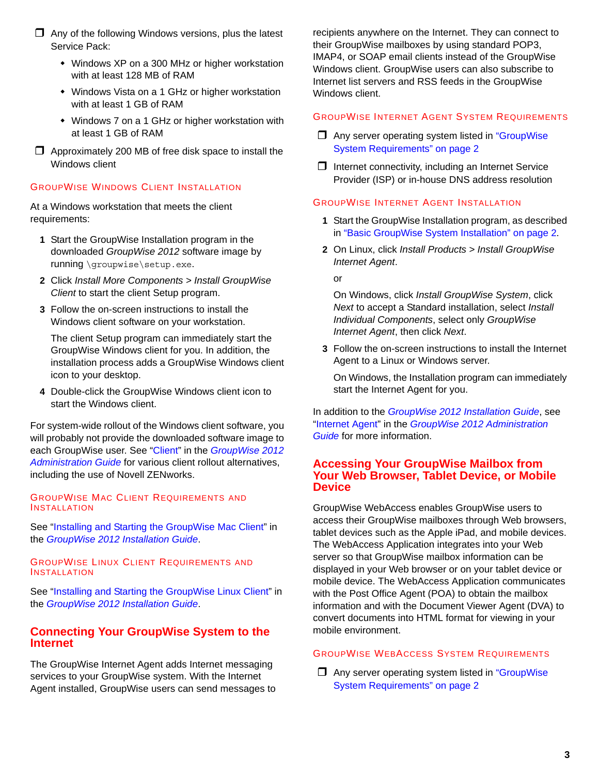- $\Box$  Any of the following Windows versions, plus the latest Service Pack:
	- Windows XP on a 300 MHz or higher workstation with at least 128 MB of RAM
	- Windows Vista on a 1 GHz or higher workstation with at least 1 GB of RAM
	- Windows 7 on a 1 GHz or higher workstation with at least 1 GB of RAM
- $\Box$  Approximately 200 MB of free disk space to install the Windows client

#### GROUPWISE WINDOWS CLIENT INSTALLATION

At a Windows workstation that meets the client requirements:

- **1** Start the GroupWise Installation program in the downloaded *GroupWise 2012* software image by running \groupwise\setup.exe.
- **2** Click *Install More Components > Install GroupWise Client* to start the client Setup program.
- **3** Follow the on-screen instructions to install the Windows client software on your workstation.

The client Setup program can immediately start the GroupWise Windows client for you. In addition, the installation process adds a GroupWise Windows client icon to your desktop.

**4** Double-click the GroupWise Windows client icon to start the Windows client.

For system-wide rollout of the Windows client software, you will probably not provide the downloaded software image to each GroupWise user. See "Client" in the *GroupWise 2012 Administration Guide* for various client rollout alternatives, including the use of Novell ZENworks.

#### GROUPWISE MAC CLIENT REQUIREMENTS AND INSTALLATION

See "Installing and Starting the GroupWise Mac Client" in the *GroupWise 2012 Installation Guide*.

GROUPWISE LINUX CLIENT REQUIREMENTS AND INSTALLATION

See "Installing and Starting the GroupWise Linux Client" in the *GroupWise 2012 Installation Guide*.

## **Connecting Your GroupWise System to the Internet**

The GroupWise Internet Agent adds Internet messaging services to your GroupWise system. With the Internet Agent installed, GroupWise users can send messages to

recipients anywhere on the Internet. They can connect to their GroupWise mailboxes by using standard POP3, IMAP4, or SOAP email clients instead of the GroupWise Windows client. GroupWise users can also subscribe to Internet list servers and RSS feeds in the GroupWise Windows client.

#### GROUPWISE INTERNET AGENT SYSTEM REQUIREMENTS

- $\Box$  Any server operating system listed in "GroupWise" [System Requirements" on page 2](#page-1-1)
- $\Box$  Internet connectivity, including an Internet Service Provider (ISP) or in-house DNS address resolution

#### GROUPWISE INTERNET AGENT INSTALLATION

- **1** Start the GroupWise Installation program, as described in ["Basic GroupWise System Installation" on page 2](#page-1-0).
- **2** On Linux, click *Install Products > Install GroupWise Internet Agent*.

or

On Windows, click *Install GroupWise System*, click *Next* to accept a Standard installation, select *Install Individual Components*, select only *GroupWise Internet Agent*, then click *Next*.

**3** Follow the on-screen instructions to install the Internet Agent to a Linux or Windows server.

On Windows, the Installation program can immediately start the Internet Agent for you.

In addition to the *GroupWise 2012 Installation Guide*, see "Internet Agent" in the *GroupWise 2012 Administration Guide* for more information.

### **Accessing Your GroupWise Mailbox from Your Web Browser, Tablet Device, or Mobile Device**

GroupWise WebAccess enables GroupWise users to access their GroupWise mailboxes through Web browsers, tablet devices such as the Apple iPad, and mobile devices. The WebAccess Application integrates into your Web server so that GroupWise mailbox information can be displayed in your Web browser or on your tablet device or mobile device. The WebAccess Application communicates with the Post Office Agent (POA) to obtain the mailbox information and with the Document Viewer Agent (DVA) to convert documents into HTML format for viewing in your mobile environment.

# <span id="page-2-0"></span>GROUPWISE WEBACCESS SYSTEM REQUIREMENTS

 $\Box$  Any server operating system listed in "GroupWise" [System Requirements" on page 2](#page-1-1)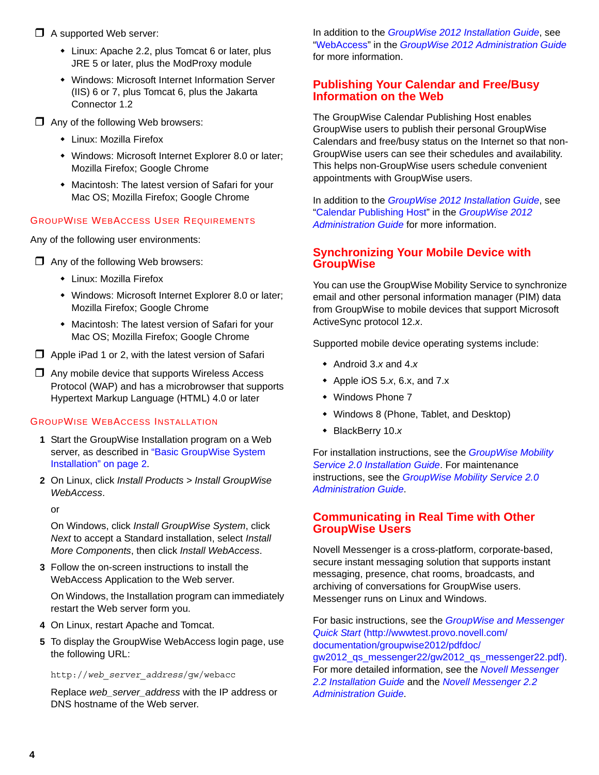## $\Box$  A supported Web server:

- Linux: Apache 2.2, plus Tomcat 6 or later, plus JRE 5 or later, plus the ModProxy module
- Windows: Microsoft Internet Information Server (IIS) 6 or 7, plus Tomcat 6, plus the Jakarta Connector 1.2
- □ Any of the following Web browsers:
	- Linux: Mozilla Firefox
	- Windows: Microsoft Internet Explorer 8.0 or later; Mozilla Firefox; Google Chrome
	- Macintosh: The latest version of Safari for your Mac OS; Mozilla Firefox; Google Chrome

# GROUPWISE WEBACCESS USER REQUIREMENTS

Any of the following user environments:

- $\Box$  Any of the following Web browsers:
	- Linux: Mozilla Firefox
	- Windows: Microsoft Internet Explorer 8.0 or later; Mozilla Firefox; Google Chrome
	- Macintosh: The latest version of Safari for your Mac OS; Mozilla Firefox; Google Chrome
- $\Box$  Apple iPad 1 or 2, with the latest version of Safari
- $\Box$  Any mobile device that supports Wireless Access Protocol (WAP) and has a microbrowser that supports Hypertext Markup Language (HTML) 4.0 or later

### GROUPWISE WEBACCESS INSTALLATION

- **1** Start the GroupWise Installation program on a Web server, as described in "Basic GroupWise System [Installation" on page 2](#page-1-0).
- **2** On Linux, click *Install Products > Install GroupWise WebAccess*.

or

On Windows, click *Install GroupWise System*, click *Next* to accept a Standard installation, select *Install More Components*, then click *Install WebAccess*.

**3** Follow the on-screen instructions to install the WebAccess Application to the Web server.

On Windows, the Installation program can immediately restart the Web server form you.

- **4** On Linux, restart Apache and Tomcat.
- **5** To display the GroupWise WebAccess login page, use the following URL:

http://*web\_server\_address*/gw/webacc

Replace *web\_server\_address* with the IP address or DNS hostname of the Web server.

In addition to the *GroupWise 2012 Installation Guide*, see "WebAccess" in the *GroupWise 2012 Administration Guide* for more information.

# **Publishing Your Calendar and Free/Busy Information on the Web**

The GroupWise Calendar Publishing Host enables GroupWise users to publish their personal GroupWise Calendars and free/busy status on the Internet so that non-GroupWise users can see their schedules and availability. This helps non-GroupWise users schedule convenient appointments with GroupWise users.

In addition to the *GroupWise 2012 Installation Guide*, see "Calendar Publishing Host" in the *GroupWise 2012 Administration Guide* for more information.

# **Synchronizing Your Mobile Device with GroupWise**

You can use the GroupWise Mobility Service to synchronize email and other personal information manager (PIM) data from GroupWise to mobile devices that support Microsoft ActiveSync protocol 12.*x*.

Supported mobile device operating systems include:

- Android 3.*x* and 4.*x*
- Apple iOS 5.*x*, 6.x, and 7.x
- Windows Phone 7
- Windows 8 (Phone, Tablet, and Desktop)
- BlackBerry 10.*x*

For installation instructions, see the *[GroupWise Mobility](http://www.novell.com/documentation/groupwisemobility2/pdfdoc/gwmob2_guide_install/gwmob2_guide_install.pdf#inst_front)  [Service 2.0 Installation Guide](http://www.novell.com/documentation/groupwisemobility2/pdfdoc/gwmob2_guide_install/gwmob2_guide_install.pdf#inst_front)*. For maintenance instructions, see the *[GroupWise Mobility Service 2.0](http://www.novell.com/documentation/groupwisemobility2/pdfdoc/gwmob2_guide_admin/gwmob2_guide_admin.pdf#admin_front)  [Administration Guide](http://www.novell.com/documentation/groupwisemobility2/pdfdoc/gwmob2_guide_admin/gwmob2_guide_admin.pdf#admin_front)*.

# **Communicating in Real Time with Other GroupWise Users**

Novell Messenger is a cross-platform, corporate-based, secure instant messaging solution that supports instant messaging, presence, chat rooms, broadcasts, and archiving of conversations for GroupWise users. Messenger runs on Linux and Windows.

For basic instructions, see the *[GroupWise and Messenger](http://wwwtest.provo.novell.com/documentation/groupwise2012/pdfdoc/gw2012_qs_messenger22/gw2012_qs_messenger22.pdf)  [Quick Start](http://wwwtest.provo.novell.com/documentation/groupwise2012/pdfdoc/gw2012_qs_messenger22/gw2012_qs_messenger22.pdf)* (http://wwwtest.provo.novell.com/ documentation/groupwise2012/pdfdoc/ gw2012\_qs\_messenger22/gw2012\_qs\_messenger22.pdf). For more detailed information, see the *[Novell Messenger](http://www.novell.com/documentation/novell_messenger22/pdfdoc/messenger22_install/messenger22_install.pdf#A20gkue)  [2.2 Installation Guide](http://www.novell.com/documentation/novell_messenger22/pdfdoc/messenger22_install/messenger22_install.pdf#A20gkue)* and the *[Novell Messenger 2.2](http://www.novell.com/documentation/novell_messenger22/pdfdoc/messenger22_admin/messenger22_admin.pdf#Front)  [Administration Guide](http://www.novell.com/documentation/novell_messenger22/pdfdoc/messenger22_admin/messenger22_admin.pdf#Front)*.